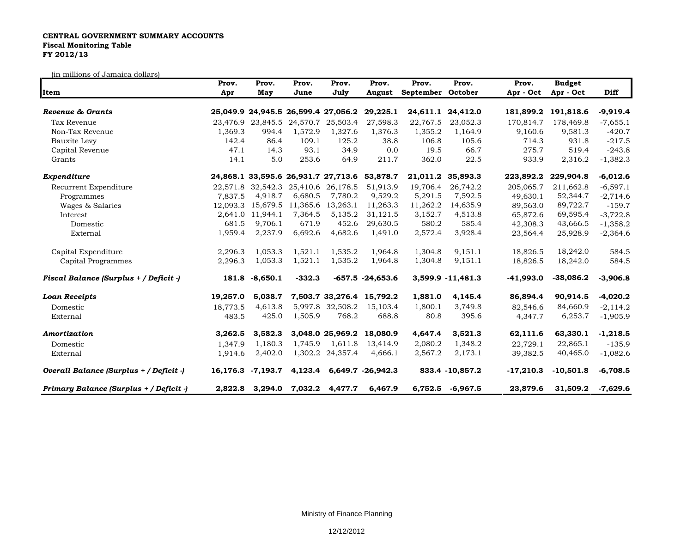## **CENTRAL GOVERNMENT SUMMARY ACCOUNTS Fiscal Monitoring Table FY 2012/13**

(in millions of Jamaica dollars)

| Item                                    | Prov.<br>Apr | Prov.<br>May               | Prov.<br>June | Prov.<br>July                       | Prov.<br>August           | Prov.<br>September October | Prov.             | Prov.       | <b>Budget</b><br>Apr - Oct Apr - Oct | Diff       |
|-----------------------------------------|--------------|----------------------------|---------------|-------------------------------------|---------------------------|----------------------------|-------------------|-------------|--------------------------------------|------------|
|                                         |              |                            |               |                                     |                           |                            |                   |             |                                      |            |
| Tax Revenue                             |              | 23,476.9 23,845.5 24,570.7 |               | 25,503.4                            | 27,598.3                  | 22,767.5                   | 23,052.3          | 170.814.7   | 178,469.8                            | $-7,655.1$ |
| Non-Tax Revenue                         | 1,369.3      | 994.4                      | 1,572.9       | 1,327.6                             | 1,376.3                   | 1,355.2                    | 1,164.9           | 9,160.6     | 9,581.3                              | $-420.7$   |
| Bauxite Levy                            | 142.4        | 86.4                       | 109.1         | 125.2                               | 38.8                      | 106.8                      | 105.6             | 714.3       | 931.8                                | $-217.5$   |
| Capital Revenue                         | 47.1         | 14.3                       | 93.1          | 34.9                                | 0.0                       | 19.5                       | 66.7              | 275.7       | 519.4                                | $-243.8$   |
| Grants                                  | 14.1         | 5.0                        | 253.6         | 64.9                                | 211.7                     | 362.0                      | 22.5              | 933.9       | 2,316.2                              | $-1,382.3$ |
| Expenditure                             |              |                            |               | 24,868.1 33,595.6 26,931.7 27,713.6 | 53,878.7                  | 21,011.2                   | 35,893.3          | 223,892.2   | 229,904.8                            | $-6,012.6$ |
| Recurrent Expenditure                   |              |                            |               | 22,571.8 32,542.3 25,410.6 26,178.5 | 51,913.9                  | 19,706.4                   | 26,742.2          | 205,065.7   | 211,662.8                            | $-6,597.1$ |
| Programmes                              | 7.837.5      | 4,918.7                    | 6,680.5       | 7,780.2                             | 9,529.2                   | 5,291.5                    | 7,592.5           | 49,630.1    | 52,344.7                             | $-2,714.6$ |
| Wages & Salaries                        | 12.093.3     | 15,679.5                   | 11,365.6      | 13,263.1                            | 11,263.3                  | 11,262.2                   | 14,635.9          | 89,563.0    | 89,722.7                             | $-159.7$   |
| Interest                                |              | 2,641.0 11,944.1           | 7,364.5       | 5,135.2                             | 31,121.5                  | 3,152.7                    | 4,513.8           | 65,872.6    | 69,595.4                             | $-3,722.8$ |
| Domestic                                | 681.5        | 9.706.1                    | 671.9         | 452.6                               | 29,630.5                  | 580.2                      | 585.4             | 42,308.3    | 43,666.5                             | $-1,358.2$ |
| External                                | 1,959.4      | 2,237.9                    | 6,692.6       | 4,682.6                             | 1,491.0                   | 2,572.4                    | 3,928.4           | 23,564.4    | 25,928.9                             | $-2,364.6$ |
| Capital Expenditure                     | 2,296.3      | 1,053.3                    | 1,521.1       | 1,535.2                             | 1,964.8                   | 1,304.8                    | 9,151.1           | 18,826.5    | 18,242.0                             | 584.5      |
| Capital Programmes                      | 2,296.3      | 1,053.3                    | 1,521.1       | 1,535.2                             | 1,964.8                   | 1,304.8                    | 9,151.1           | 18,826.5    | 18,242.0                             | 584.5      |
| Fiscal Balance (Surplus + / Deficit -)  | 181.8        | $-8,650.1$                 | $-332.3$      |                                     | $-657.5 -24.653.6$        |                            | 3,599.9 -11,481.3 | $-41,993.0$ | $-38,086.2$                          | $-3,906.8$ |
| <b>Loan Receipts</b>                    | 19,257.0     | 5,038.7                    |               |                                     | 7,503.7 33,276.4 15,792.2 | 1,881.0                    | 4,145.4           | 86,894.4    | 90,914.5                             | $-4,020.2$ |
| Domestic                                | 18,773.5     | 4,613.8                    |               | 5,997.8 32,508.2                    | 15,103.4                  | 1,800.1                    | 3,749.8           | 82,546.6    | 84,660.9                             | $-2,114.2$ |
| External                                | 483.5        | 425.0                      | 1,505.9       | 768.2                               | 688.8                     | 80.8                       | 395.6             | 4,347.7     | 6,253.7                              | $-1,905.9$ |
| Amortization                            | 3,262.5      | 3,582.3                    |               | 3,048.0 25,969.2                    | 18,080.9                  | 4,647.4                    | 3,521.3           | 62,111.6    | 63,330.1                             | $-1,218.5$ |
| Domestic                                | 1,347.9      | 1,180.3                    | 1,745.9       | 1,611.8                             | 13,414.9                  | 2,080.2                    | 1,348.2           | 22.729.1    | 22,865.1                             | $-135.9$   |
| External                                | 1,914.6      | 2,402.0                    |               | 1,302.2 24,357.4                    | 4,666.1                   | 2,567.2                    | 2,173.1           | 39,382.5    | 40,465.0                             | $-1,082.6$ |
| Overall Balance (Surplus + / Deficit -) | 16,176.3     | -7,193.7                   | 4,123.4       |                                     | 6,649.7 -26,942.3         |                            | 833.4 - 10,857.2  | $-17,210.3$ | $-10,501.8$                          | $-6,708.5$ |
| Primary Balance (Surplus + / Deficit -) | 2.822.8      | 3,294.0                    | 7,032.2       | 4.477.7                             | 6,467.9                   | 6,752.5                    | $-6,967.5$        | 23.879.6    | 31,509.2                             | $-7.629.6$ |